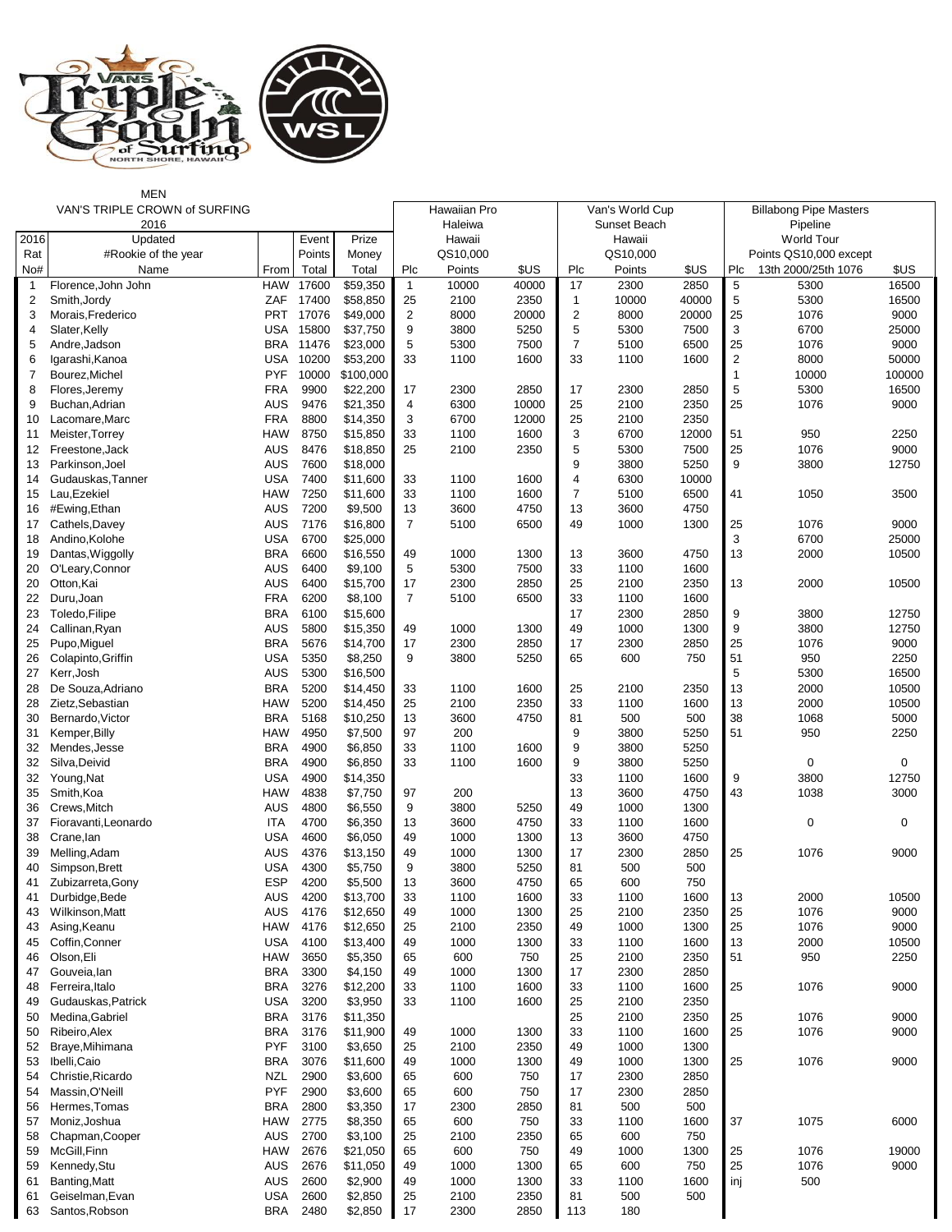

## MEN

|                | VAN'S TRIPLE CROWN of SURFING |            |           |           |                | Hawaiian Pro |       |                | Van's World Cup |       |                | <b>Billabong Pipe Masters</b> |             |
|----------------|-------------------------------|------------|-----------|-----------|----------------|--------------|-------|----------------|-----------------|-------|----------------|-------------------------------|-------------|
|                | 2016                          |            |           |           |                | Haleiwa      |       |                | Sunset Beach    |       |                | Pipeline                      |             |
| 2016           | Updated                       |            | Event     | Prize     |                | Hawaii       |       |                | Hawaii          |       |                | <b>World Tour</b>             |             |
| Rat            | #Rookie of the year           |            | Points    | Money     |                | QS10,000     |       |                | QS10,000        |       |                | Points QS10,000 except        |             |
| No#            | Name                          | From       | Total     | Total     | Plc            | Points       | \$US  | Plc            | Points          | \$US  | Plc            | 13th 2000/25th 1076           | \$US        |
| $\mathbf{1}$   | Florence, John John           | <b>HAW</b> | 17600     | \$59,350  | $\overline{1}$ | 10000        | 40000 | 17             | 2300            | 2850  | 5              | 5300                          | 16500       |
| 2              | Smith, Jordy                  | ZAF        | 17400     | \$58,850  | 25             | 2100         | 2350  | $\mathbf{1}$   | 10000           | 40000 | 5              | 5300                          | 16500       |
| 3              | Morais, Frederico             | PRT        | 17076     | \$49,000  | $\overline{2}$ | 8000         | 20000 | $\overline{2}$ | 8000            | 20000 | 25             | 1076                          | 9000        |
| 4              | Slater, Kelly                 |            | USA 15800 | \$37,750  | 9              | 3800         | 5250  | 5              | 5300            | 7500  | $\sqrt{3}$     | 6700                          | 25000       |
| 5              | Andre, Jadson                 | <b>BRA</b> | 11476     | \$23,000  | 5              | 5300         | 7500  | $\overline{7}$ | 5100            | 6500  | 25             | 1076                          | 9000        |
| 6              | Igarashi, Kanoa               | USA        | 10200     | \$53,200  | 33             | 1100         | 1600  | 33             | 1100            | 1600  | $\sqrt{2}$     | 8000                          | 50000       |
| $\overline{7}$ | Bourez, Michel                | <b>PYF</b> | 10000     | \$100,000 |                |              |       |                |                 |       | $\overline{1}$ | 10000                         | 100000      |
| 8              | Flores, Jeremy                | <b>FRA</b> | 9900      | \$22,200  | 17             | 2300         | 2850  | 17             | 2300            | 2850  | 5              | 5300                          | 16500       |
| 9              | Buchan, Adrian                | <b>AUS</b> | 9476      | \$21,350  | 4              | 6300         | 10000 | 25             | 2100            | 2350  | 25             | 1076                          | 9000        |
| 10             | Lacomare, Marc                | <b>FRA</b> | 8800      | \$14,350  | 3              | 6700         | 12000 | 25             | 2100            | 2350  |                |                               |             |
| 11             | Meister, Torrey               | <b>HAW</b> | 8750      | \$15,850  | 33             | 1100         | 1600  | 3              | 6700            | 12000 | 51             | 950                           | 2250        |
| 12             | Freestone, Jack               | <b>AUS</b> | 8476      | \$18,850  | 25             | 2100         | 2350  | 5              | 5300            | 7500  | 25             | 1076                          | 9000        |
| 13             | Parkinson, Joel               | <b>AUS</b> | 7600      | \$18,000  |                |              |       | 9              | 3800            | 5250  | 9              | 3800                          | 12750       |
| 14             | Gudauskas, Tanner             | <b>USA</b> | 7400      | \$11,600  | 33             | 1100         | 1600  | $\overline{4}$ | 6300            | 10000 |                |                               |             |
| 15             | Lau, Ezekiel                  | <b>HAW</b> | 7250      | \$11,600  | 33             | 1100         | 1600  | $\overline{7}$ | 5100            | 6500  | 41             | 1050                          | 3500        |
| 16             | #Ewing, Ethan                 | <b>AUS</b> | 7200      | \$9,500   | 13             | 3600         | 4750  | 13             | 3600            | 4750  |                |                               |             |
| 17             | Cathels, Davey                | <b>AUS</b> | 7176      | \$16,800  | $\overline{7}$ | 5100         | 6500  | 49             | 1000            | 1300  | 25             | 1076                          | 9000        |
| 18             | Andino, Kolohe                | <b>USA</b> | 6700      | \$25,000  |                |              |       |                |                 |       | 3              | 6700                          | 25000       |
| 19             | Dantas, Wiggolly              | <b>BRA</b> | 6600      | \$16,550  | 49             | 1000         | 1300  | 13             | 3600            | 4750  | 13             | 2000                          | 10500       |
| 20             | O'Leary, Connor               | <b>AUS</b> | 6400      | \$9,100   | 5              | 5300         | 7500  | 33             | 1100            | 1600  |                |                               |             |
| 20             | Otton, Kai                    | <b>AUS</b> | 6400      | \$15,700  | 17             | 2300         | 2850  | 25             | 2100            | 2350  | 13             | 2000                          | 10500       |
| 22             | Duru, Joan                    | <b>FRA</b> | 6200      | \$8,100   | 7              | 5100         | 6500  | 33             | 1100            | 1600  |                |                               |             |
| 23             | Toledo, Filipe                | <b>BRA</b> | 6100      | \$15,600  |                |              |       | 17             |                 | 2850  | 9              |                               | 12750       |
|                |                               |            |           |           |                |              |       |                | 2300            |       |                | 3800                          |             |
| 24             | Callinan, Ryan                | <b>AUS</b> | 5800      | \$15,350  | 49             | 1000         | 1300  | 49             | 1000            | 1300  | 9              | 3800                          | 12750       |
| 25             | Pupo, Miguel                  | <b>BRA</b> | 5676      | \$14,700  | 17             | 2300         | 2850  | 17             | 2300            | 2850  | 25             | 1076                          | 9000        |
| 26             | Colapinto, Griffin            | <b>USA</b> | 5350      | \$8,250   | 9              | 3800         | 5250  | 65             | 600             | 750   | 51             | 950                           | 2250        |
| 27             | Kerr, Josh                    | <b>AUS</b> | 5300      | \$16,500  |                |              |       |                |                 |       | 5              | 5300                          | 16500       |
| 28             | De Souza, Adriano             | <b>BRA</b> | 5200      | \$14,450  | 33             | 1100         | 1600  | 25             | 2100            | 2350  | 13             | 2000                          | 10500       |
| 28             | Zietz, Sebastian              | <b>HAW</b> | 5200      | \$14,450  | 25             | 2100         | 2350  | 33             | 1100            | 1600  | 13             | 2000                          | 10500       |
| 30             | Bernardo, Victor              | <b>BRA</b> | 5168      | \$10,250  | 13             | 3600         | 4750  | 81             | 500             | 500   | 38             | 1068                          | 5000        |
| 31             | Kemper, Billy                 | <b>HAW</b> | 4950      | \$7,500   | 97             | 200          |       | 9              | 3800            | 5250  | 51             | 950                           | 2250        |
| 32             | Mendes, Jesse                 | <b>BRA</b> | 4900      | \$6,850   | 33             | 1100         | 1600  | 9              | 3800            | 5250  |                |                               |             |
| 32             | Silva, Deivid                 | <b>BRA</b> | 4900      | \$6,850   | 33             | 1100         | 1600  | 9              | 3800            | 5250  |                | 0                             | 0           |
| 32             | Young, Nat                    | <b>USA</b> | 4900      | \$14,350  |                |              |       | 33             | 1100            | 1600  | 9              | 3800                          | 12750       |
| 35             | Smith, Koa                    | <b>HAW</b> | 4838      | \$7,750   | 97             | 200          |       | 13             | 3600            | 4750  | 43             | 1038                          | 3000        |
| 36             | Crews, Mitch                  | <b>AUS</b> | 4800      | \$6,550   | 9              | 3800         | 5250  | 49             | 1000            | 1300  |                |                               |             |
| 37             | Fioravanti, Leonardo          | ITA        | 4700      | \$6,350   | 13             | 3600         | 4750  | 33             | 1100            | 1600  |                | 0                             | $\mathbf 0$ |
| 38             | Crane, lan                    | <b>USA</b> | 4600      | \$6,050   | 49             | 1000         | 1300  | 13             | 3600            | 4750  |                |                               |             |
| 39             | Melling, Adam                 | <b>AUS</b> | 4376      | \$13,150  | 49             | 1000         | 1300  | 17             | 2300            | 2850  | 25             | 1076                          | 9000        |
| 40             | Simpson, Brett                | <b>USA</b> | 4300      | \$5,750   | 9              | 3800         | 5250  | 81             | 500             | 500   |                |                               |             |
| 41             | Zubizarreta, Gony             | <b>ESP</b> | 4200      | \$5,500   | 13             | 3600         | 4750  | 65             | 600             | 750   |                |                               |             |
| 41             | Durbidge, Bede                | <b>AUS</b> | 4200      | \$13,700  | 33             | 1100         | 1600  | 33             | 1100            | 1600  | 13             | 2000                          | 10500       |
| 43             | Wilkinson, Matt               | <b>AUS</b> | 4176      | \$12,650  | 49             | 1000         | 1300  | 25             | 2100            | 2350  | 25             | 1076                          | 9000        |
| 43             | Asing, Keanu                  | <b>HAW</b> | 4176      | \$12,650  | 25             | 2100         | 2350  | 49             | 1000            | 1300  | 25             | 1076                          | 9000        |
| 45             | Coffin, Conner                | <b>USA</b> | 4100      | \$13,400  | 49             | 1000         | 1300  | 33             | 1100            | 1600  | 13             | 2000                          | 10500       |
| 46             | Olson, Eli                    | <b>HAW</b> | 3650      | \$5,350   | 65             | 600          | 750   | 25             | 2100            | 2350  | 51             | 950                           | 2250        |
| 47             | Gouveia, lan                  | <b>BRA</b> | 3300      | \$4,150   | 49             | 1000         | 1300  | 17             | 2300            | 2850  |                |                               |             |
| 48             | Ferreira, Italo               | <b>BRA</b> | 3276      | \$12,200  | 33             | 1100         | 1600  | 33             | 1100            | 1600  | 25             | 1076                          | 9000        |
| 49             | Gudauskas, Patrick            | <b>USA</b> | 3200      | \$3,950   | 33             | 1100         | 1600  | 25             | 2100            | 2350  |                |                               |             |
| 50             | Medina, Gabriel               | <b>BRA</b> | 3176      | \$11,350  |                |              |       | 25             | 2100            | 2350  | 25             | 1076                          | 9000        |
| 50             | Ribeiro, Alex                 | <b>BRA</b> | 3176      | \$11,900  | 49             | 1000         | 1300  | 33             | 1100            | 1600  | 25             | 1076                          | 9000        |
| 52             | Braye, Mihimana               | <b>PYF</b> | 3100      | \$3,650   | 25             | 2100         | 2350  | 49             | 1000            | 1300  |                |                               |             |
| 53             | Ibelli, Caio                  | <b>BRA</b> | 3076      | \$11,600  | 49             | 1000         | 1300  | 49             | 1000            | 1300  | 25             | 1076                          | 9000        |
| 54             | Christie, Ricardo             | <b>NZL</b> | 2900      | \$3,600   | 65             | 600          | 750   | 17             | 2300            | 2850  |                |                               |             |
| 54             | Massin, O'Neill               | <b>PYF</b> | 2900      | \$3,600   | 65             | 600          | 750   | 17             | 2300            | 2850  |                |                               |             |
| 56             | Hermes, Tomas                 | <b>BRA</b> | 2800      | \$3,350   | 17             | 2300         | 2850  | 81             | 500             | 500   |                |                               |             |
| 57             | Moniz, Joshua                 | HAW        | 2775      | \$8,350   | 65             | 600          | 750   | 33             | 1100            | 1600  | 37             | 1075                          | 6000        |
| 58             | Chapman, Cooper               | AUS        | 2700      | \$3,100   | 25             | 2100         | 2350  | 65             | 600             | 750   |                |                               |             |
| 59             | McGill, Finn                  | HAW        | 2676      | \$21,050  | 65             | 600          | 750   | 49             | 1000            | 1300  | 25             | 1076                          | 19000       |
| 59             | Kennedy, Stu                  | <b>AUS</b> | 2676      | \$11,050  | 49             | 1000         | 1300  | 65             | 600             | 750   | 25             | 1076                          | 9000        |
|                |                               | <b>AUS</b> | 2600      |           |                |              |       |                |                 |       |                | 500                           |             |
| 61             | Banting, Matt                 |            |           | \$2,900   | 49             | 1000         | 1300  | 33             | 1100            | 1600  | inj            |                               |             |
| 61             | Geiselman, Evan               | USA        | 2600      | \$2,850   | 25             | 2100         | 2350  | 81             | 500             | 500   |                |                               |             |
| 63             | Santos, Robson                | BRA        | 2480      | \$2,850   | 17             | 2300         | 2850  | 113            | 180             |       |                |                               |             |